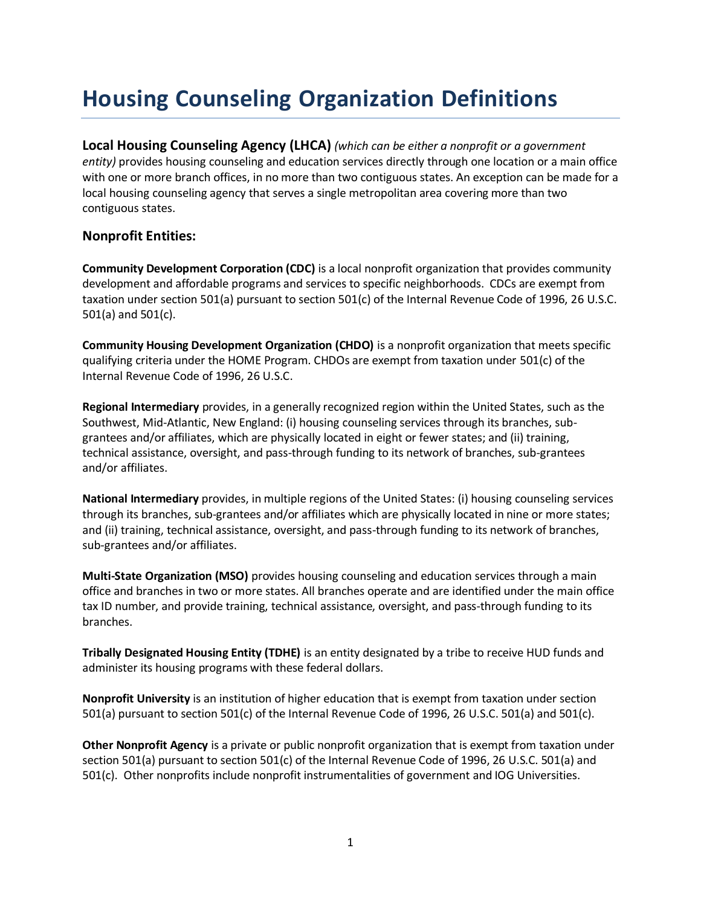## **Housing Counseling Organization Definitions**

**Local Housing Counseling Agency (LHCA)** *(which can be either a nonprofit or a government entity)* provides housing counseling and education services directly through one location or a main office with one or more branch offices, in no more than two contiguous states. An exception can be made for a local housing counseling agency that serves a single metropolitan area covering more than two contiguous states.

## **Nonprofit Entities:**

**Community Development Corporation (CDC)** is a local nonprofit organization that provides community development and affordable programs and services to specific neighborhoods. CDCs are exempt from taxation under section 501(a) pursuant to section 501(c) of the Internal Revenue Code of 1996, 26 U.S.C. 501(a) and 501(c).

**Community Housing Development Organization (CHDO)** is a nonprofit organization that meets specific qualifying criteria under the HOME Program. CHDOs are exempt from taxation under 501(c) of the Internal Revenue Code of 1996, 26 U.S.C.

**Regional Intermediary** provides, in a generally recognized region within the United States, such as the Southwest, Mid-Atlantic, New England: (i) housing counseling services through its branches, subgrantees and/or affiliates, which are physically located in eight or fewer states; and (ii) training, technical assistance, oversight, and pass-through funding to its network of branches, sub-grantees and/or affiliates.

**National Intermediary** provides, in multiple regions of the United States: (i) housing counseling services through its branches, sub-grantees and/or affiliates which are physically located in nine or more states; and (ii) training, technical assistance, oversight, and pass-through funding to its network of branches, sub-grantees and/or affiliates.

**Multi-State Organization (MSO)** provides housing counseling and education services through a main office and branches in two or more states. All branches operate and are identified under the main office tax ID number, and provide training, technical assistance, oversight, and pass-through funding to its branches.

**Tribally Designated Housing Entity (TDHE)** is an entity designated by a tribe to receive HUD funds and administer its housing programs with these federal dollars.

**Nonprofit University** is an institution of higher education that is exempt from taxation under section 501(a) pursuant to section 501(c) of the Internal Revenue Code of 1996, 26 U.S.C. 501(a) and 501(c).

**Other Nonprofit Agency** is a private or public nonprofit organization that is exempt from taxation under section 501(a) pursuant to section 501(c) of the Internal Revenue Code of 1996, 26 U.S.C. 501(a) and 501(c). Other nonprofits include nonprofit instrumentalities of government and IOG Universities.